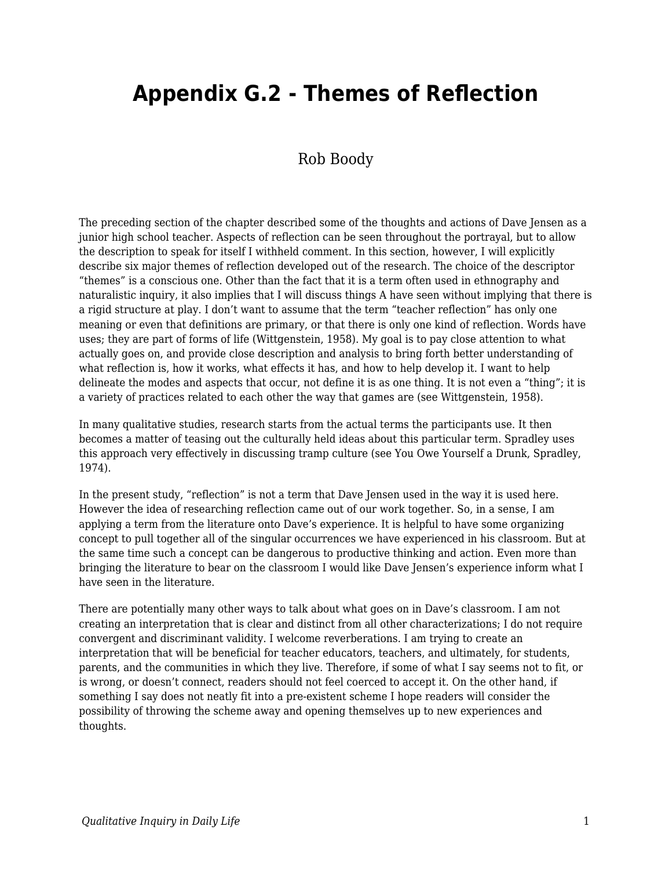## **Appendix G.2 - Themes of Reflection**

## Rob Boody

The preceding section of the chapter described some of the thoughts and actions of Dave Jensen as a junior high school teacher. Aspects of reflection can be seen throughout the portrayal, but to allow the description to speak for itself I withheld comment. In this section, however, I will explicitly describe six major themes of reflection developed out of the research. The choice of the descriptor "themes" is a conscious one. Other than the fact that it is a term often used in ethnography and naturalistic inquiry, it also implies that I will discuss things A have seen without implying that there is a rigid structure at play. I don't want to assume that the term "teacher reflection" has only one meaning or even that definitions are primary, or that there is only one kind of reflection. Words have uses; they are part of forms of life (Wittgenstein, 1958). My goal is to pay close attention to what actually goes on, and provide close description and analysis to bring forth better understanding of what reflection is, how it works, what effects it has, and how to help develop it. I want to help delineate the modes and aspects that occur, not define it is as one thing. It is not even a "thing"; it is a variety of practices related to each other the way that games are (see Wittgenstein, 1958).

In many qualitative studies, research starts from the actual terms the participants use. It then becomes a matter of teasing out the culturally held ideas about this particular term. Spradley uses this approach very effectively in discussing tramp culture (see You Owe Yourself a Drunk, Spradley, 1974).

In the present study, "reflection" is not a term that Dave Jensen used in the way it is used here. However the idea of researching reflection came out of our work together. So, in a sense, I am applying a term from the literature onto Dave's experience. It is helpful to have some organizing concept to pull together all of the singular occurrences we have experienced in his classroom. But at the same time such a concept can be dangerous to productive thinking and action. Even more than bringing the literature to bear on the classroom I would like Dave Jensen's experience inform what I have seen in the literature.

There are potentially many other ways to talk about what goes on in Dave's classroom. I am not creating an interpretation that is clear and distinct from all other characterizations; I do not require convergent and discriminant validity. I welcome reverberations. I am trying to create an interpretation that will be beneficial for teacher educators, teachers, and ultimately, for students, parents, and the communities in which they live. Therefore, if some of what I say seems not to fit, or is wrong, or doesn't connect, readers should not feel coerced to accept it. On the other hand, if something I say does not neatly fit into a pre-existent scheme I hope readers will consider the possibility of throwing the scheme away and opening themselves up to new experiences and thoughts.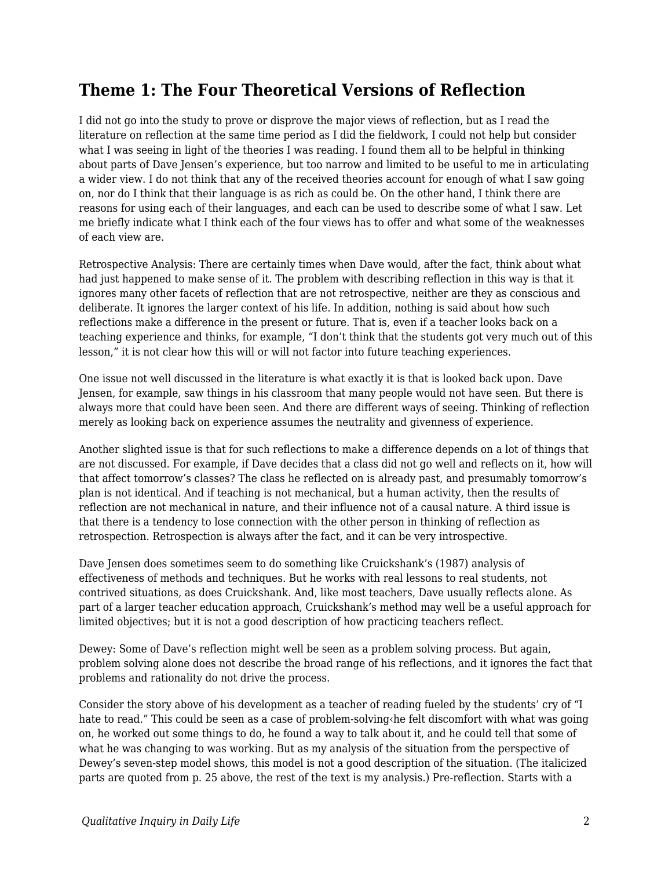## **Theme 1: The Four Theoretical Versions of Reflection**

I did not go into the study to prove or disprove the major views of reflection, but as I read the literature on reflection at the same time period as I did the fieldwork, I could not help but consider what I was seeing in light of the theories I was reading. I found them all to be helpful in thinking about parts of Dave Jensen's experience, but too narrow and limited to be useful to me in articulating a wider view. I do not think that any of the received theories account for enough of what I saw going on, nor do I think that their language is as rich as could be. On the other hand, I think there are reasons for using each of their languages, and each can be used to describe some of what I saw. Let me briefly indicate what I think each of the four views has to offer and what some of the weaknesses of each view are.

Retrospective Analysis: There are certainly times when Dave would, after the fact, think about what had just happened to make sense of it. The problem with describing reflection in this way is that it ignores many other facets of reflection that are not retrospective, neither are they as conscious and deliberate. It ignores the larger context of his life. In addition, nothing is said about how such reflections make a difference in the present or future. That is, even if a teacher looks back on a teaching experience and thinks, for example, "I don't think that the students got very much out of this lesson," it is not clear how this will or will not factor into future teaching experiences.

One issue not well discussed in the literature is what exactly it is that is looked back upon. Dave Jensen, for example, saw things in his classroom that many people would not have seen. But there is always more that could have been seen. And there are different ways of seeing. Thinking of reflection merely as looking back on experience assumes the neutrality and givenness of experience.

Another slighted issue is that for such reflections to make a difference depends on a lot of things that are not discussed. For example, if Dave decides that a class did not go well and reflects on it, how will that affect tomorrow's classes? The class he reflected on is already past, and presumably tomorrow's plan is not identical. And if teaching is not mechanical, but a human activity, then the results of reflection are not mechanical in nature, and their influence not of a causal nature. A third issue is that there is a tendency to lose connection with the other person in thinking of reflection as retrospection. Retrospection is always after the fact, and it can be very introspective.

Dave Jensen does sometimes seem to do something like Cruickshank's (1987) analysis of effectiveness of methods and techniques. But he works with real lessons to real students, not contrived situations, as does Cruickshank. And, like most teachers, Dave usually reflects alone. As part of a larger teacher education approach, Cruickshank's method may well be a useful approach for limited objectives; but it is not a good description of how practicing teachers reflect.

Dewey: Some of Dave's reflection might well be seen as a problem solving process. But again, problem solving alone does not describe the broad range of his reflections, and it ignores the fact that problems and rationality do not drive the process.

Consider the story above of his development as a teacher of reading fueled by the students' cry of "I hate to read." This could be seen as a case of problem-solving‹he felt discomfort with what was going on, he worked out some things to do, he found a way to talk about it, and he could tell that some of what he was changing to was working. But as my analysis of the situation from the perspective of Dewey's seven-step model shows, this model is not a good description of the situation. (The italicized parts are quoted from p. 25 above, the rest of the text is my analysis.) Pre-reflection. Starts with a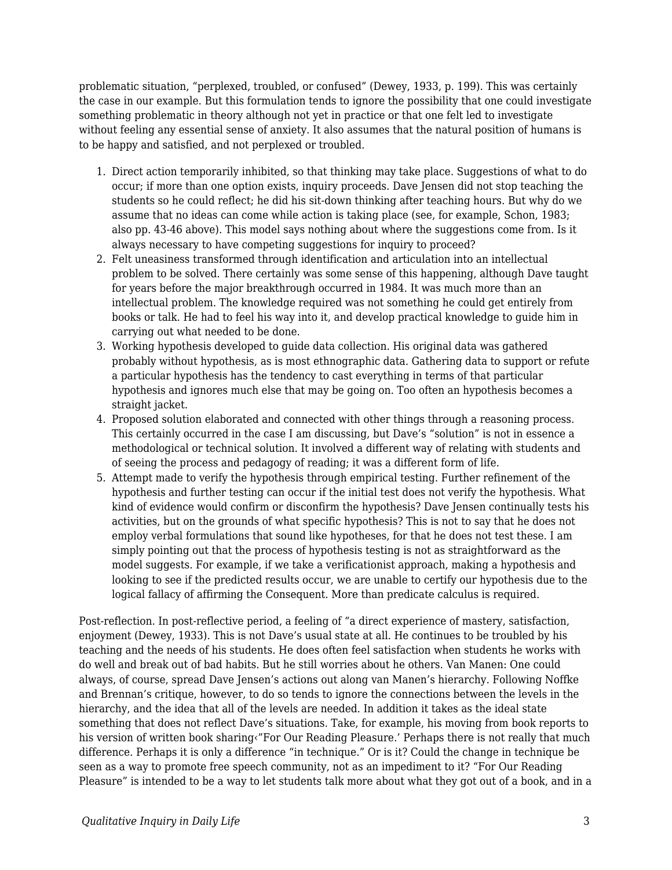problematic situation, "perplexed, troubled, or confused" (Dewey, 1933, p. 199). This was certainly the case in our example. But this formulation tends to ignore the possibility that one could investigate something problematic in theory although not yet in practice or that one felt led to investigate without feeling any essential sense of anxiety. It also assumes that the natural position of humans is to be happy and satisfied, and not perplexed or troubled.

- 1. Direct action temporarily inhibited, so that thinking may take place. Suggestions of what to do occur; if more than one option exists, inquiry proceeds. Dave Jensen did not stop teaching the students so he could reflect; he did his sit-down thinking after teaching hours. But why do we assume that no ideas can come while action is taking place (see, for example, Schon, 1983; also pp. 43-46 above). This model says nothing about where the suggestions come from. Is it always necessary to have competing suggestions for inquiry to proceed?
- 2. Felt uneasiness transformed through identification and articulation into an intellectual problem to be solved. There certainly was some sense of this happening, although Dave taught for years before the major breakthrough occurred in 1984. It was much more than an intellectual problem. The knowledge required was not something he could get entirely from books or talk. He had to feel his way into it, and develop practical knowledge to guide him in carrying out what needed to be done.
- 3. Working hypothesis developed to guide data collection. His original data was gathered probably without hypothesis, as is most ethnographic data. Gathering data to support or refute a particular hypothesis has the tendency to cast everything in terms of that particular hypothesis and ignores much else that may be going on. Too often an hypothesis becomes a straight jacket.
- 4. Proposed solution elaborated and connected with other things through a reasoning process. This certainly occurred in the case I am discussing, but Dave's "solution" is not in essence a methodological or technical solution. It involved a different way of relating with students and of seeing the process and pedagogy of reading; it was a different form of life.
- 5. Attempt made to verify the hypothesis through empirical testing. Further refinement of the hypothesis and further testing can occur if the initial test does not verify the hypothesis. What kind of evidence would confirm or disconfirm the hypothesis? Dave Jensen continually tests his activities, but on the grounds of what specific hypothesis? This is not to say that he does not employ verbal formulations that sound like hypotheses, for that he does not test these. I am simply pointing out that the process of hypothesis testing is not as straightforward as the model suggests. For example, if we take a verificationist approach, making a hypothesis and looking to see if the predicted results occur, we are unable to certify our hypothesis due to the logical fallacy of affirming the Consequent. More than predicate calculus is required.

Post-reflection. In post-reflective period, a feeling of "a direct experience of mastery, satisfaction, enjoyment (Dewey, 1933). This is not Dave's usual state at all. He continues to be troubled by his teaching and the needs of his students. He does often feel satisfaction when students he works with do well and break out of bad habits. But he still worries about he others. Van Manen: One could always, of course, spread Dave Jensen's actions out along van Manen's hierarchy. Following Noffke and Brennan's critique, however, to do so tends to ignore the connections between the levels in the hierarchy, and the idea that all of the levels are needed. In addition it takes as the ideal state something that does not reflect Dave's situations. Take, for example, his moving from book reports to his version of written book sharing<"For Our Reading Pleasure.' Perhaps there is not really that much difference. Perhaps it is only a difference "in technique." Or is it? Could the change in technique be seen as a way to promote free speech community, not as an impediment to it? "For Our Reading Pleasure" is intended to be a way to let students talk more about what they got out of a book, and in a